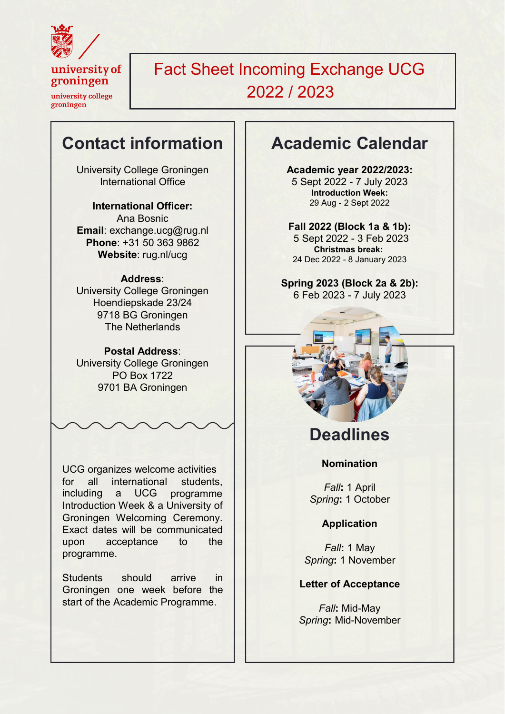

university of groningen

university college groningen

Fact Sheet Incoming Exchange UCG 2022 / 2023

# **Contact information**

University College Groningen International Office

**International Officer:** Ana Bosnic **Email**[: exchange.ucg@rug.nl](mailto:exchange.ucg@rug.nl) **Phone**: +31 50 363 9862 **Website**: rug.nl/ucg

#### **Address**:

University College Groningen Hoendiepskade 23/24 9718 BG Groningen The Netherlands

#### **Postal Address**:

University College Groningen PO Box 1722 9701 BA Groningen

UCG organizes welcome activities for all international including a UCG programme students, Introduction Week & a University of Groningen Welcoming Ceremony. Exact dates will be communicated upon acceptance to the programme.

Students should arrive in Groningen one week before the start of the Academic Programme.

# **Academic Calendar**

**Academic year 2022/2023:**  5 Sept 2022 - 7 July 2023 **Introduction Week:** 29 Aug - 2 Sept 2022

**Fall 2022 (Block 1a & 1b):** 5 Sept 2022 - 3 Feb 2023 **Christmas break:** 24 Dec 2022 - 8 January 2023

**Spring 2023 (Block 2a & 2b):** 6 Feb 2023 - 7 July 2023



# **Deadlines**

#### **Nomination**

*Fall***:** 1 April *Spring***:** 1 October

#### **Application**

*Fall***:** 1 May *Spring***:** 1 November

#### **Letter of Acceptance**

*Fall***:** Mid-May *Spring***:** Mid-November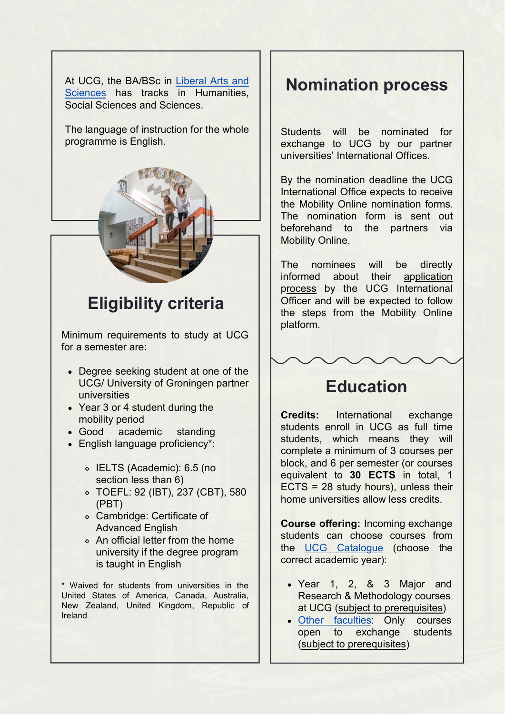[At UCG, the BA/BSc in Liberal Arts and](https://www.rug.nl/ucg/education/) Sciences [has tracks in Humanities,](https://www.rug.nl/ucg/education/) Social Sciences and Sciences.

The language of instruction for the whole programme is English.



# **Eligibility criteria**

Minimum requirements to study at UCG for a semester are:

- Degree seeking student at one of the UCG/ University of Groningen partner universities
- Year 3 or 4 student during the mobility period
- Good academic standing
- English language proficiency\*:
	- o IELTS (Academic): 6.5 (no section less than 6)
	- TOEFL: 92 (IBT), 237 (CBT), 580 (PBT)
	- Cambridge: Certificate of Advanced English
	- An official letter from the home university if the degree program is taught in English

\* Waived for students from universities in the United States of America, Canada, Australia, New Zealand, United Kingdom, Republic of Ireland

### **Nomination process**

Students will be nominated for exchange to UCG by our partner universities' International Offices.

By the nomination deadline the UCG International Office expects to receive the Mobility Online nomination forms. The nomination form is sent out beforehand to the partners via Mobility Online.

The nominees will be directly informed about their application process by the UCG International Officer and will be expected to follow the steps from the Mobility Online platform.



### **Education**

**Credits:** International exchange students enroll in UCG as full time students, which means they will complete a minimum of 3 courses per block, and 6 per semester (or courses equivalent to **30 ECTS** in total, 1 ECTS = 28 study hours), unless their home universities allow less credits.

**Course offering:** Incoming exchange students can choose courses from the [UCG Catalogue](https://www.rug.nl/ocasys/rug/vak/showpos?opleiding=5629) (choose the correct academic year):

- Year 1, 2, & 3 Major and Research & Methodology courses at UCG (subject to prerequisites)
- Other [faculties:](https://www.rug.nl/ocasys/rug/main/browseByFaculty) Only courses open to exchange students (subject to prerequisites)